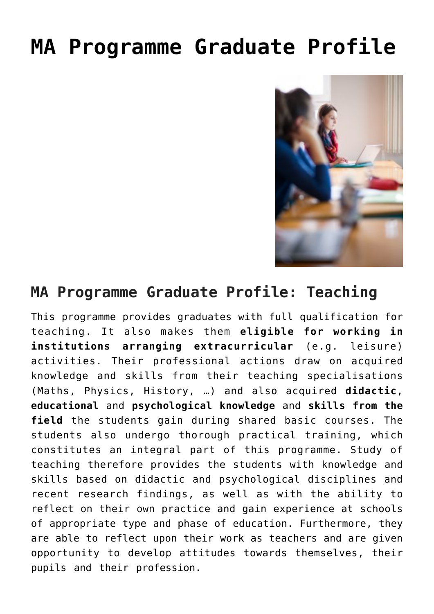## **[MA Programme Graduate Profile](https://www.ped.muni.cz/pedagogika/magisterske-profil-absolventa/?lang=en)**



## **MA Programme Graduate Profile: Teaching**

This programme provides graduates with full qualification for teaching. It also makes them **eligible for working in institutions arranging extracurricular** (e.g. leisure) activities. Their professional actions draw on acquired knowledge and skills from their teaching specialisations (Maths, Physics, History, …) and also acquired **didactic**, **educational** and **psychological knowledge** and **skills from the field** the students gain during shared basic courses. The students also undergo thorough practical training, which constitutes an integral part of this programme. Study of teaching therefore provides the students with knowledge and skills based on didactic and psychological disciplines and recent research findings, as well as with the ability to reflect on their own practice and gain experience at schools of appropriate type and phase of education. Furthermore, they are able to reflect upon their work as teachers and are given opportunity to develop attitudes towards themselves, their pupils and their profession.